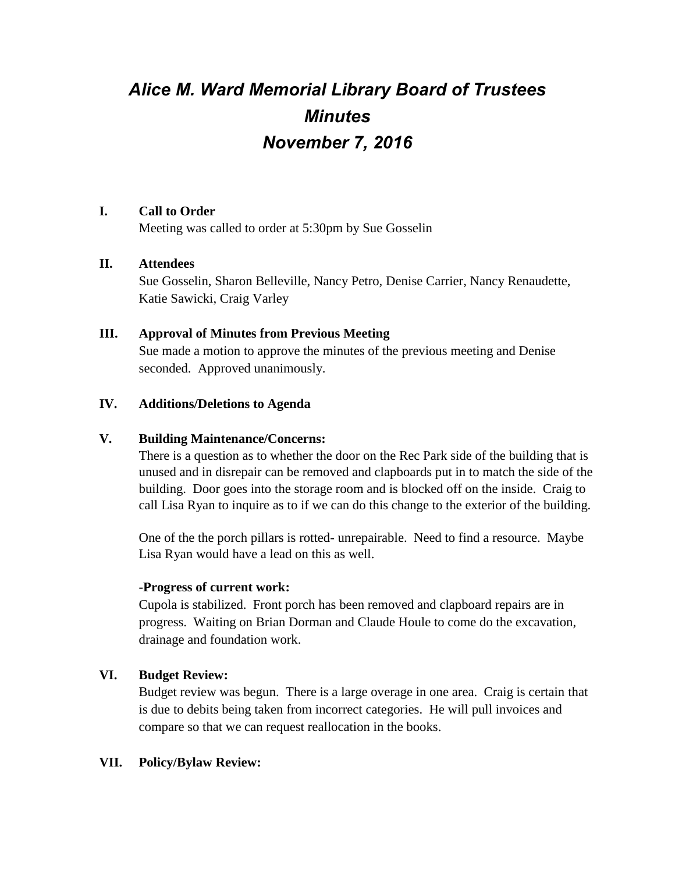# *Alice M. Ward Memorial Library Board of Trustees Minutes November 7, 2016*

# **I. Call to Order**

Meeting was called to order at 5:30pm by Sue Gosselin

# **II. Attendees**

Sue Gosselin, Sharon Belleville, Nancy Petro, Denise Carrier, Nancy Renaudette, Katie Sawicki, Craig Varley

# **III. Approval of Minutes from Previous Meeting**

Sue made a motion to approve the minutes of the previous meeting and Denise seconded. Approved unanimously.

# **IV. Additions/Deletions to Agenda**

#### **V. Building Maintenance/Concerns:**

There is a question as to whether the door on the Rec Park side of the building that is unused and in disrepair can be removed and clapboards put in to match the side of the building. Door goes into the storage room and is blocked off on the inside. Craig to call Lisa Ryan to inquire as to if we can do this change to the exterior of the building.

One of the the porch pillars is rotted- unrepairable. Need to find a resource. Maybe Lisa Ryan would have a lead on this as well.

#### **-Progress of current work:**

Cupola is stabilized. Front porch has been removed and clapboard repairs are in progress. Waiting on Brian Dorman and Claude Houle to come do the excavation, drainage and foundation work.

# **VI. Budget Review:**

Budget review was begun. There is a large overage in one area. Craig is certain that is due to debits being taken from incorrect categories. He will pull invoices and compare so that we can request reallocation in the books.

#### **VII. Policy/Bylaw Review:**